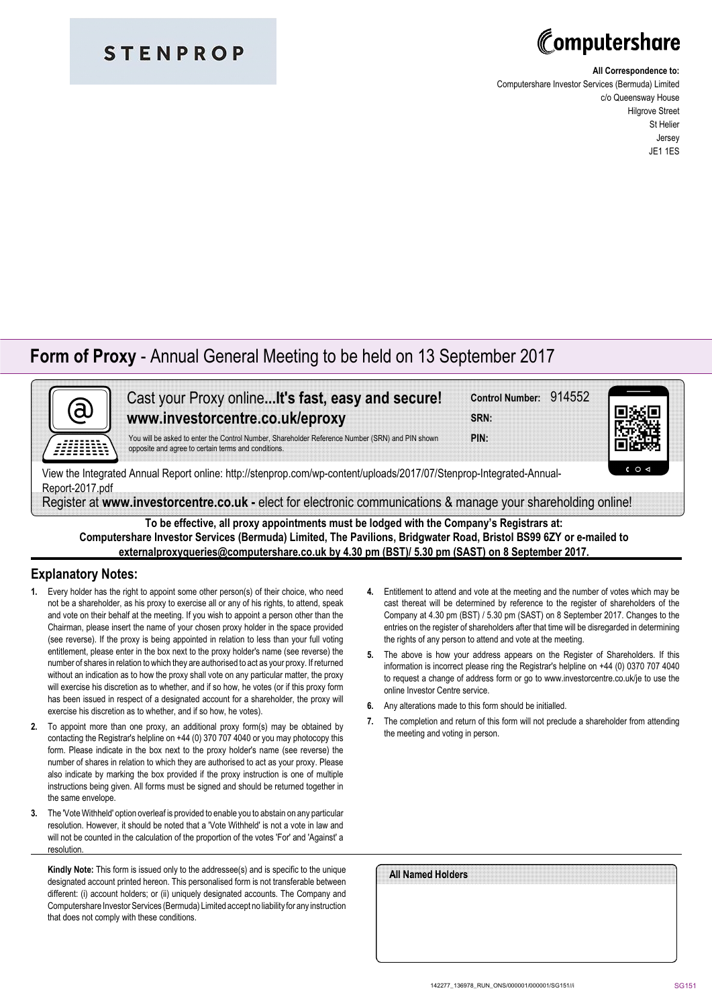### **STENPROP**

# Computershare

#### **All Correspondence to:**

Computershare Investor Services (Bermuda) Limited c/o Queensway House Hilgrove Street St Helier Jersey JE1 1ES

### **Form of Proxy** - Annual General Meeting to be held on 13 September 2017

| Yo |
|----|
|    |

ast your Proxy online...**It's fast, easy and secure! www.investorcentre.co.uk/eproxy**

**SRN: Control Number:** 914552

**PIN:**

Iu will be asked to enter the Control Number, Shareholder Reference Number (SRN) and PIN shown posite and agree to certain terms and conditions.

View the Integrated Annual Report online: http://stenprop.com/wp-content/uploads/2017/07/Stenprop-Integrated-Annual-Report-2017.pdf

Register at **www.investorcentre.co.uk -** elect for electronic communications & manage your shareholding online!

**To be effective, all proxy appointments must be lodged with the Company's Registrars at: Computershare Investor Services (Bermuda) Limited, The Pavilions, Bridgwater Road, Bristol BS99 6ZY or e-mailed to externalproxyqueries@computershare.co.uk by 4.30 pm (BST)/ 5.30 pm (SAST) on 8 September 2017.**

#### **Explanatory Notes:**

- **1.** Every holder has the right to appoint some other person(s) of their choice, who need not be a shareholder, as his proxy to exercise all or any of his rights, to attend, speak and vote on their behalf at the meeting. If you wish to appoint a person other than the Chairman, please insert the name of your chosen proxy holder in the space provided (see reverse). If the proxy is being appointed in relation to less than your full voting entitlement, please enter in the box next to the proxy holder's name (see reverse) the number of shares in relation to which they are authorised to act as your proxy. If returned without an indication as to how the proxy shall vote on any particular matter, the proxy will exercise his discretion as to whether, and if so how, he votes (or if this proxy form has been issued in respect of a designated account for a shareholder, the proxy will exercise his discretion as to whether, and if so how, he votes).
- **2.** To appoint more than one proxy, an additional proxy form(s) may be obtained by contacting the Registrar's helpline on +44 (0) 370 707 4040 or you may photocopy this form. Please indicate in the box next to the proxy holder's name (see reverse) the number of shares in relation to which they are authorised to act as your proxy. Please also indicate by marking the box provided if the proxy instruction is one of multiple instructions being given. All forms must be signed and should be returned together in the same envelope.
- **3.** The 'Vote Withheld' option overleaf is provided to enable you to abstain on any particular resolution. However, it should be noted that a 'Vote Withheld' is not a vote in law and will not be counted in the calculation of the proportion of the votes 'For' and 'Against' a resolution.

**Kindly Note:** This form is issued only to the addressee(s) and is specific to the unique designated account printed hereon. This personalised form is not transferable between different: (i) account holders; or (ii) uniquely designated accounts. The Company and Computershare Investor Services (Bermuda) Limited accept no liability for any instruction that does not comply with these conditions.

- **4.** Entitlement to attend and vote at the meeting and the number of votes which may be cast thereat will be determined by reference to the register of shareholders of the Company at 4.30 pm (BST) / 5.30 pm (SAST) on 8 September 2017. Changes to the entries on the register of shareholders after that time will be disregarded in determining the rights of any person to attend and vote at the meeting.
- **5.** The above is how your address appears on the Register of Shareholders. If this information is incorrect please ring the Registrar's helpline on +44 (0) 0370 707 4040 to request a change of address form or go to www.investorcentre.co.uk/je to use the online Investor Centre service.
- **6.** Any alterations made to this form should be initialled.
- **7.** The completion and return of this form will not preclude a shareholder from attending the meeting and voting in person.